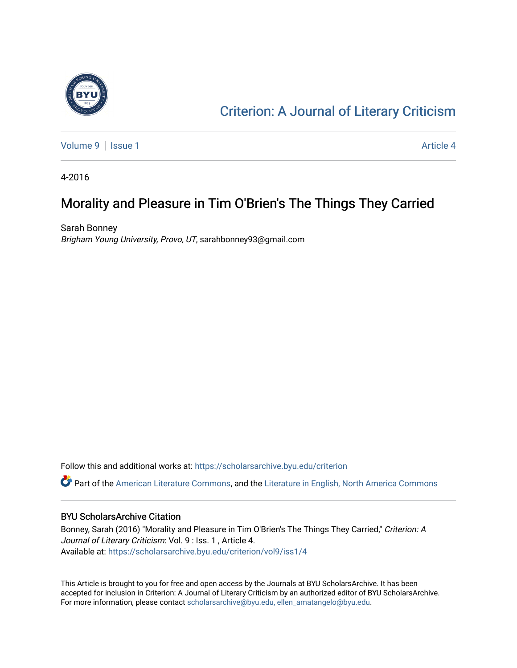

## [Criterion: A Journal of Literary Criticism](https://scholarsarchive.byu.edu/criterion)

[Volume 9](https://scholarsarchive.byu.edu/criterion/vol9) | [Issue 1](https://scholarsarchive.byu.edu/criterion/vol9/iss1) Article 4

4-2016

### Morality and Pleasure in Tim O'Brien's The Things They Carried

Sarah Bonney Brigham Young University, Provo, UT, sarahbonney93@gmail.com

Follow this and additional works at: [https://scholarsarchive.byu.edu/criterion](https://scholarsarchive.byu.edu/criterion?utm_source=scholarsarchive.byu.edu%2Fcriterion%2Fvol9%2Fiss1%2F4&utm_medium=PDF&utm_campaign=PDFCoverPages) 

Part of the [American Literature Commons](http://network.bepress.com/hgg/discipline/441?utm_source=scholarsarchive.byu.edu%2Fcriterion%2Fvol9%2Fiss1%2F4&utm_medium=PDF&utm_campaign=PDFCoverPages), and the [Literature in English, North America Commons](http://network.bepress.com/hgg/discipline/458?utm_source=scholarsarchive.byu.edu%2Fcriterion%2Fvol9%2Fiss1%2F4&utm_medium=PDF&utm_campaign=PDFCoverPages) 

### BYU ScholarsArchive Citation

Bonney, Sarah (2016) "Morality and Pleasure in Tim O'Brien's The Things They Carried," Criterion: A Journal of Literary Criticism: Vol. 9 : Iss. 1 , Article 4. Available at: [https://scholarsarchive.byu.edu/criterion/vol9/iss1/4](https://scholarsarchive.byu.edu/criterion/vol9/iss1/4?utm_source=scholarsarchive.byu.edu%2Fcriterion%2Fvol9%2Fiss1%2F4&utm_medium=PDF&utm_campaign=PDFCoverPages) 

This Article is brought to you for free and open access by the Journals at BYU ScholarsArchive. It has been accepted for inclusion in Criterion: A Journal of Literary Criticism by an authorized editor of BYU ScholarsArchive. For more information, please contact [scholarsarchive@byu.edu, ellen\\_amatangelo@byu.edu](mailto:scholarsarchive@byu.edu,%20ellen_amatangelo@byu.edu).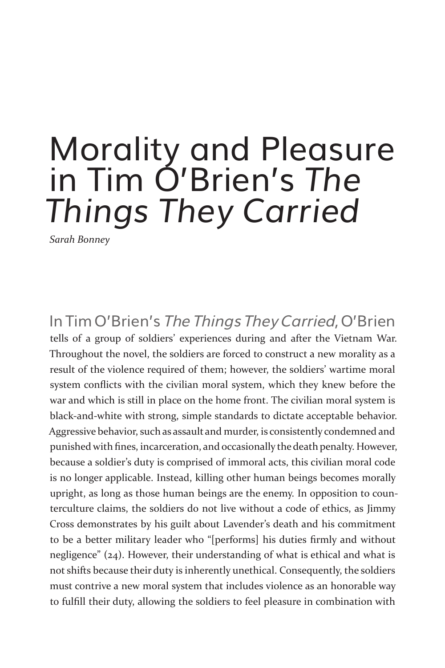# Morality and Pleasure in Tim O'Brien's *The Things They Carried*

*Sarah Bonney*

In Tim O'Brien's The Things They Carried, O'Brien tells of a group of soldiers' experiences during and after the Vietnam War. Throughout the novel, the soldiers are forced to construct a new morality as a result of the violence required of them; however, the soldiers' wartime moral system conflicts with the civilian moral system, which they knew before the war and which is still in place on the home front. The civilian moral system is black-and-white with strong, simple standards to dictate acceptable behavior. Aggressive behavior, such as assault and murder, is consistently condemned and punished with fines, incarceration, and occasionally the death penalty. However, because a soldier's duty is comprised of immoral acts, this civilian moral code is no longer applicable. Instead, killing other human beings becomes morally upright, as long as those human beings are the enemy. In opposition to counterculture claims, the soldiers do not live without a code of ethics, as Jimmy Cross demonstrates by his guilt about Lavender's death and his commitment to be a better military leader who "[performs] his duties firmly and without negligence" (24). However, their understanding of what is ethical and what is not shifts because their duty is inherently unethical. Consequently, the soldiers must contrive a new moral system that includes violence as an honorable way to fulfill their duty, allowing the soldiers to feel pleasure in combination with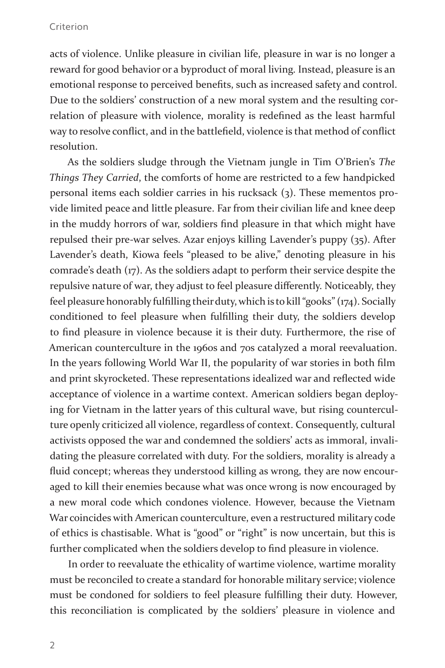acts of violence. Unlike pleasure in civilian life, pleasure in war is no longer a reward for good behavior or a byproduct of moral living. Instead, pleasure is an emotional response to perceived benefits, such as increased safety and control. Due to the soldiers' construction of a new moral system and the resulting correlation of pleasure with violence, morality is redefined as the least harmful way to resolve conflict, and in the battlefield, violence is that method of conflict resolution.

As the soldiers sludge through the Vietnam jungle in Tim O'Brien's *The Things They Carried*, the comforts of home are restricted to a few handpicked personal items each soldier carries in his rucksack (3). These mementos provide limited peace and little pleasure. Far from their civilian life and knee deep in the muddy horrors of war, soldiers find pleasure in that which might have repulsed their pre-war selves. Azar enjoys killing Lavender's puppy (35). After Lavender's death, Kiowa feels "pleased to be alive," denoting pleasure in his comrade's death (17). As the soldiers adapt to perform their service despite the repulsive nature of war, they adjust to feel pleasure differently. Noticeably, they feel pleasure honorably fulfilling their duty, which is to kill "gooks" (174). Socially conditioned to feel pleasure when fulfilling their duty, the soldiers develop to find pleasure in violence because it is their duty. Furthermore, the rise of American counterculture in the 1960s and 70s catalyzed a moral reevaluation. In the years following World War II, the popularity of war stories in both film and print skyrocketed. These representations idealized war and reflected wide acceptance of violence in a wartime context. American soldiers began deploying for Vietnam in the latter years of this cultural wave, but rising counterculture openly criticized all violence, regardless of context. Consequently, cultural activists opposed the war and condemned the soldiers' acts as immoral, invalidating the pleasure correlated with duty. For the soldiers, morality is already a fluid concept; whereas they understood killing as wrong, they are now encouraged to kill their enemies because what was once wrong is now encouraged by a new moral code which condones violence. However, because the Vietnam War coincides with American counterculture, even a restructured military code of ethics is chastisable. What is "good" or "right" is now uncertain, but this is further complicated when the soldiers develop to find pleasure in violence.

In order to reevaluate the ethicality of wartime violence, wartime morality must be reconciled to create a standard for honorable military service; violence must be condoned for soldiers to feel pleasure fulfilling their duty. However, this reconciliation is complicated by the soldiers' pleasure in violence and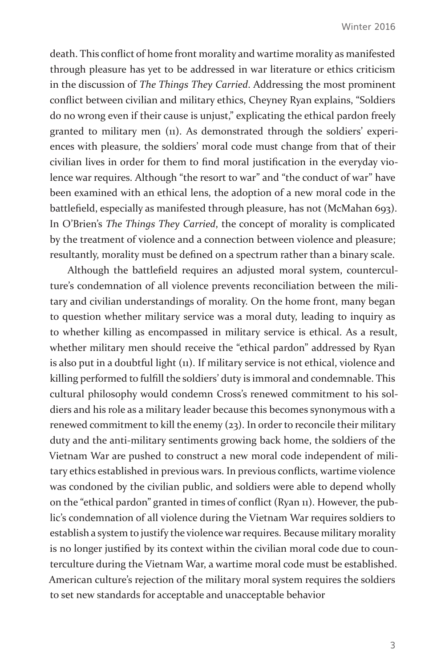death. This conflict of home front morality and wartime morality as manifested through pleasure has yet to be addressed in war literature or ethics criticism in the discussion of *The Things They Carried*. Addressing the most prominent conflict between civilian and military ethics, Cheyney Ryan explains, "Soldiers do no wrong even if their cause is unjust," explicating the ethical pardon freely granted to military men (11). As demonstrated through the soldiers' experiences with pleasure, the soldiers' moral code must change from that of their civilian lives in order for them to find moral justification in the everyday violence war requires. Although "the resort to war" and "the conduct of war" have been examined with an ethical lens, the adoption of a new moral code in the battlefield, especially as manifested through pleasure, has not (McMahan 693). In O'Brien's *The Things They Carried*, the concept of morality is complicated by the treatment of violence and a connection between violence and pleasure; resultantly, morality must be defined on a spectrum rather than a binary scale.

Although the battlefield requires an adjusted moral system, counterculture's condemnation of all violence prevents reconciliation between the military and civilian understandings of morality. On the home front, many began to question whether military service was a moral duty, leading to inquiry as to whether killing as encompassed in military service is ethical. As a result, whether military men should receive the "ethical pardon" addressed by Ryan is also put in a doubtful light (11). If military service is not ethical, violence and killing performed to fulfill the soldiers' duty is immoral and condemnable. This cultural philosophy would condemn Cross's renewed commitment to his soldiers and his role as a military leader because this becomes synonymous with a renewed commitment to kill the enemy (23). In order to reconcile their military duty and the anti-military sentiments growing back home, the soldiers of the Vietnam War are pushed to construct a new moral code independent of military ethics established in previous wars. In previous conflicts, wartime violence was condoned by the civilian public, and soldiers were able to depend wholly on the "ethical pardon" granted in times of conflict (Ryan 11). However, the public's condemnation of all violence during the Vietnam War requires soldiers to establish a system to justify the violence war requires. Because military morality is no longer justified by its context within the civilian moral code due to counterculture during the Vietnam War, a wartime moral code must be established. American culture's rejection of the military moral system requires the soldiers to set new standards for acceptable and unacceptable behavior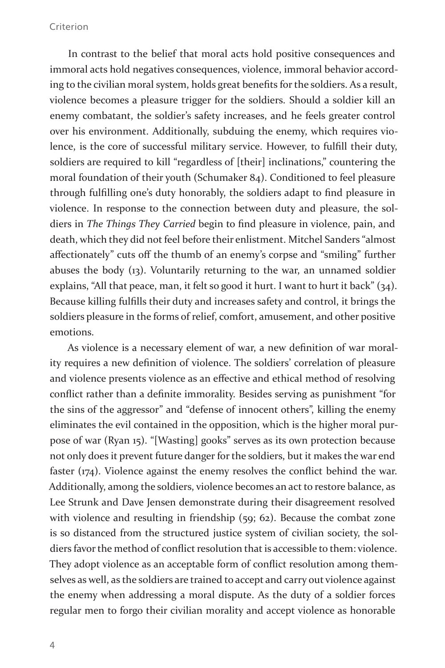In contrast to the belief that moral acts hold positive consequences and immoral acts hold negatives consequences, violence, immoral behavior according to the civilian moral system, holds great benefits for the soldiers. As a result, violence becomes a pleasure trigger for the soldiers. Should a soldier kill an enemy combatant, the soldier's safety increases, and he feels greater control over his environment. Additionally, subduing the enemy, which requires violence, is the core of successful military service. However, to fulfill their duty, soldiers are required to kill "regardless of [their] inclinations," countering the moral foundation of their youth (Schumaker 84). Conditioned to feel pleasure through fulfilling one's duty honorably, the soldiers adapt to find pleasure in violence. In response to the connection between duty and pleasure, the soldiers in *The Things They Carried* begin to find pleasure in violence, pain, and death, which they did not feel before their enlistment. Mitchel Sanders "almost affectionately" cuts off the thumb of an enemy's corpse and "smiling" further abuses the body (13). Voluntarily returning to the war, an unnamed soldier explains, "All that peace, man, it felt so good it hurt. I want to hurt it back" (34). Because killing fulfills their duty and increases safety and control, it brings the soldiers pleasure in the forms of relief, comfort, amusement, and other positive emotions.

As violence is a necessary element of war, a new definition of war morality requires a new definition of violence. The soldiers' correlation of pleasure and violence presents violence as an effective and ethical method of resolving conflict rather than a definite immorality. Besides serving as punishment "for the sins of the aggressor" and "defense of innocent others", killing the enemy eliminates the evil contained in the opposition, which is the higher moral purpose of war (Ryan 15). "[Wasting] gooks" serves as its own protection because not only does it prevent future danger for the soldiers, but it makes the war end faster (174). Violence against the enemy resolves the conflict behind the war. Additionally, among the soldiers, violence becomes an act to restore balance, as Lee Strunk and Dave Jensen demonstrate during their disagreement resolved with violence and resulting in friendship (59; 62). Because the combat zone is so distanced from the structured justice system of civilian society, the soldiers favor the method of conflict resolution that is accessible to them: violence. They adopt violence as an acceptable form of conflict resolution among themselves as well, as the soldiers are trained to accept and carry out violence against the enemy when addressing a moral dispute. As the duty of a soldier forces regular men to forgo their civilian morality and accept violence as honorable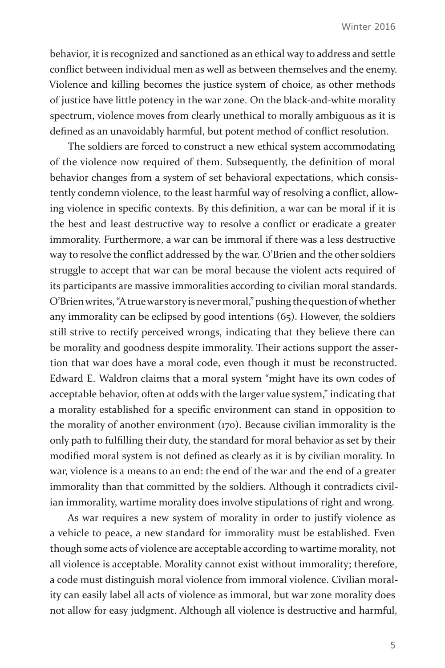behavior, it is recognized and sanctioned as an ethical way to address and settle conflict between individual men as well as between themselves and the enemy. Violence and killing becomes the justice system of choice, as other methods of justice have little potency in the war zone. On the black-and-white morality spectrum, violence moves from clearly unethical to morally ambiguous as it is defined as an unavoidably harmful, but potent method of conflict resolution.

The soldiers are forced to construct a new ethical system accommodating of the violence now required of them. Subsequently, the definition of moral behavior changes from a system of set behavioral expectations, which consistently condemn violence, to the least harmful way of resolving a conflict, allowing violence in specific contexts. By this definition, a war can be moral if it is the best and least destructive way to resolve a conflict or eradicate a greater immorality. Furthermore, a war can be immoral if there was a less destructive way to resolve the conflict addressed by the war. O'Brien and the other soldiers struggle to accept that war can be moral because the violent acts required of its participants are massive immoralities according to civilian moral standards. O'Brien writes, "A true war story is never moral," pushing the question of whether any immorality can be eclipsed by good intentions (65). However, the soldiers still strive to rectify perceived wrongs, indicating that they believe there can be morality and goodness despite immorality. Their actions support the assertion that war does have a moral code, even though it must be reconstructed. Edward E. Waldron claims that a moral system "might have its own codes of acceptable behavior, often at odds with the larger value system," indicating that a morality established for a specific environment can stand in opposition to the morality of another environment (170). Because civilian immorality is the only path to fulfilling their duty, the standard for moral behavior as set by their modified moral system is not defined as clearly as it is by civilian morality. In war, violence is a means to an end: the end of the war and the end of a greater immorality than that committed by the soldiers. Although it contradicts civilian immorality, wartime morality does involve stipulations of right and wrong.

As war requires a new system of morality in order to justify violence as a vehicle to peace, a new standard for immorality must be established. Even though some acts of violence are acceptable according to wartime morality, not all violence is acceptable. Morality cannot exist without immorality; therefore, a code must distinguish moral violence from immoral violence. Civilian morality can easily label all acts of violence as immoral, but war zone morality does not allow for easy judgment. Although all violence is destructive and harmful,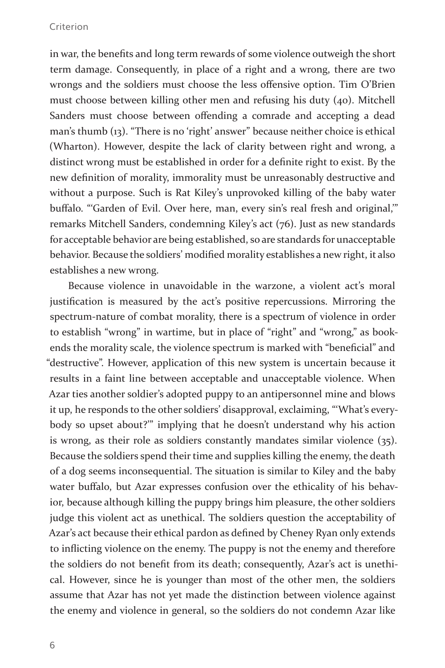in war, the benefits and long term rewards of some violence outweigh the short term damage. Consequently, in place of a right and a wrong, there are two wrongs and the soldiers must choose the less offensive option. Tim O'Brien must choose between killing other men and refusing his duty (40). Mitchell Sanders must choose between offending a comrade and accepting a dead man's thumb (13). "There is no 'right' answer" because neither choice is ethical (Wharton). However, despite the lack of clarity between right and wrong, a distinct wrong must be established in order for a definite right to exist. By the new definition of morality, immorality must be unreasonably destructive and without a purpose. Such is Rat Kiley's unprovoked killing of the baby water buffalo. "'Garden of Evil. Over here, man, every sin's real fresh and original,'" remarks Mitchell Sanders, condemning Kiley's act (76). Just as new standards for acceptable behavior are being established, so are standards for unacceptable behavior. Because the soldiers' modified morality establishes a new right, it also establishes a new wrong.

Because violence in unavoidable in the warzone, a violent act's moral justification is measured by the act's positive repercussions. Mirroring the spectrum-nature of combat morality, there is a spectrum of violence in order to establish "wrong" in wartime, but in place of "right" and "wrong," as bookends the morality scale, the violence spectrum is marked with "beneficial" and "destructive". However, application of this new system is uncertain because it results in a faint line between acceptable and unacceptable violence. When Azar ties another soldier's adopted puppy to an antipersonnel mine and blows it up, he responds to the other soldiers' disapproval, exclaiming, "'What's everybody so upset about?'" implying that he doesn't understand why his action is wrong, as their role as soldiers constantly mandates similar violence (35). Because the soldiers spend their time and supplies killing the enemy, the death of a dog seems inconsequential. The situation is similar to Kiley and the baby water buffalo, but Azar expresses confusion over the ethicality of his behavior, because although killing the puppy brings him pleasure, the other soldiers judge this violent act as unethical. The soldiers question the acceptability of Azar's act because their ethical pardon as defined by Cheney Ryan only extends to inflicting violence on the enemy. The puppy is not the enemy and therefore the soldiers do not benefit from its death; consequently, Azar's act is unethical. However, since he is younger than most of the other men, the soldiers assume that Azar has not yet made the distinction between violence against the enemy and violence in general, so the soldiers do not condemn Azar like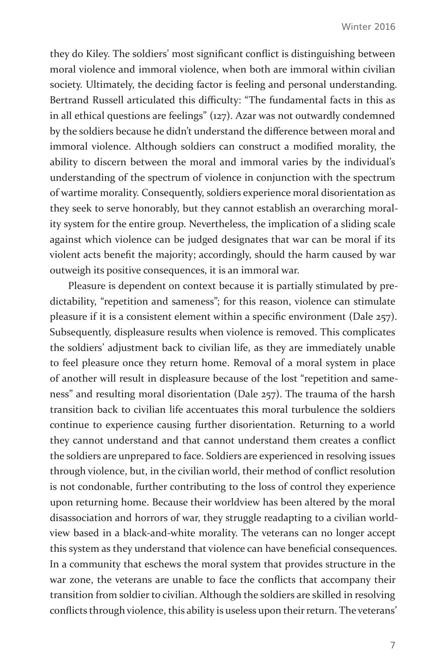they do Kiley. The soldiers' most significant conflict is distinguishing between moral violence and immoral violence, when both are immoral within civilian society. Ultimately, the deciding factor is feeling and personal understanding. Bertrand Russell articulated this difficulty: "The fundamental facts in this as in all ethical questions are feelings" (127). Azar was not outwardly condemned by the soldiers because he didn't understand the difference between moral and immoral violence. Although soldiers can construct a modified morality, the ability to discern between the moral and immoral varies by the individual's understanding of the spectrum of violence in conjunction with the spectrum of wartime morality. Consequently, soldiers experience moral disorientation as they seek to serve honorably, but they cannot establish an overarching morality system for the entire group. Nevertheless, the implication of a sliding scale against which violence can be judged designates that war can be moral if its violent acts benefit the majority; accordingly, should the harm caused by war outweigh its positive consequences, it is an immoral war.

Pleasure is dependent on context because it is partially stimulated by predictability, "repetition and sameness"; for this reason, violence can stimulate pleasure if it is a consistent element within a specific environment (Dale 257). Subsequently, displeasure results when violence is removed. This complicates the soldiers' adjustment back to civilian life, as they are immediately unable to feel pleasure once they return home. Removal of a moral system in place of another will result in displeasure because of the lost "repetition and sameness" and resulting moral disorientation (Dale 257). The trauma of the harsh transition back to civilian life accentuates this moral turbulence the soldiers continue to experience causing further disorientation. Returning to a world they cannot understand and that cannot understand them creates a conflict the soldiers are unprepared to face. Soldiers are experienced in resolving issues through violence, but, in the civilian world, their method of conflict resolution is not condonable, further contributing to the loss of control they experience upon returning home. Because their worldview has been altered by the moral disassociation and horrors of war, they struggle readapting to a civilian worldview based in a black-and-white morality. The veterans can no longer accept this system as they understand that violence can have beneficial consequences. In a community that eschews the moral system that provides structure in the war zone, the veterans are unable to face the conflicts that accompany their transition from soldier to civilian. Although the soldiers are skilled in resolving conflicts through violence, this ability is useless upon their return. The veterans'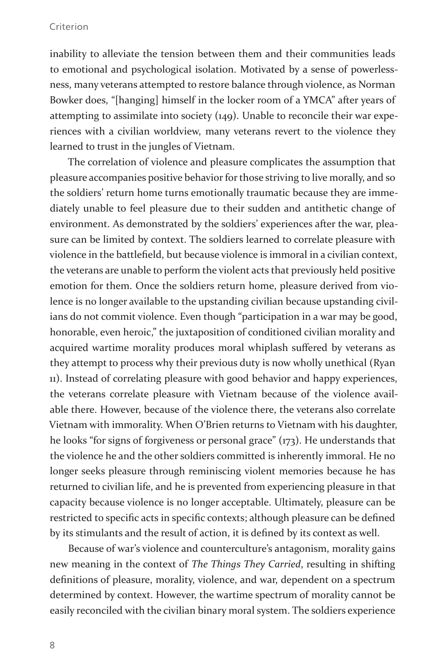inability to alleviate the tension between them and their communities leads to emotional and psychological isolation. Motivated by a sense of powerlessness, many veterans attempted to restore balance through violence, as Norman Bowker does, "[hanging] himself in the locker room of a YMCA" after years of attempting to assimilate into society (149). Unable to reconcile their war experiences with a civilian worldview, many veterans revert to the violence they learned to trust in the jungles of Vietnam.

The correlation of violence and pleasure complicates the assumption that pleasure accompanies positive behavior for those striving to live morally, and so the soldiers' return home turns emotionally traumatic because they are immediately unable to feel pleasure due to their sudden and antithetic change of environment. As demonstrated by the soldiers' experiences after the war, pleasure can be limited by context. The soldiers learned to correlate pleasure with violence in the battlefield, but because violence is immoral in a civilian context, the veterans are unable to perform the violent acts that previously held positive emotion for them. Once the soldiers return home, pleasure derived from violence is no longer available to the upstanding civilian because upstanding civilians do not commit violence. Even though "participation in a war may be good, honorable, even heroic," the juxtaposition of conditioned civilian morality and acquired wartime morality produces moral whiplash suffered by veterans as they attempt to process why their previous duty is now wholly unethical (Ryan 11). Instead of correlating pleasure with good behavior and happy experiences, the veterans correlate pleasure with Vietnam because of the violence available there. However, because of the violence there, the veterans also correlate Vietnam with immorality. When O'Brien returns to Vietnam with his daughter, he looks "for signs of forgiveness or personal grace" (173). He understands that the violence he and the other soldiers committed is inherently immoral. He no longer seeks pleasure through reminiscing violent memories because he has returned to civilian life, and he is prevented from experiencing pleasure in that capacity because violence is no longer acceptable. Ultimately, pleasure can be restricted to specific acts in specific contexts; although pleasure can be defined by its stimulants and the result of action, it is defined by its context as well.

Because of war's violence and counterculture's antagonism, morality gains new meaning in the context of *The Things They Carried*, resulting in shifting definitions of pleasure, morality, violence, and war, dependent on a spectrum determined by context. However, the wartime spectrum of morality cannot be easily reconciled with the civilian binary moral system. The soldiers experience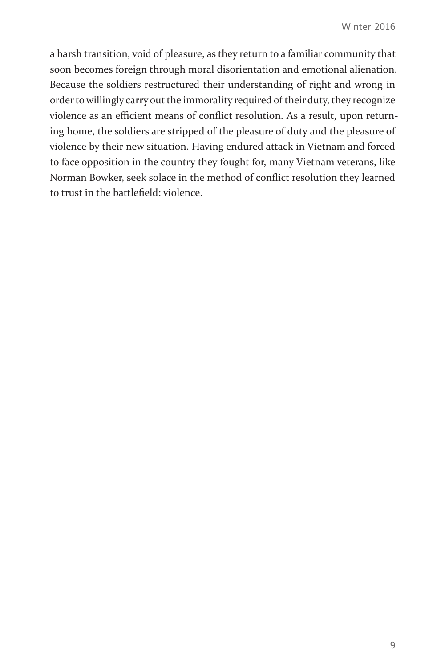a harsh transition, void of pleasure, as they return to a familiar community that soon becomes foreign through moral disorientation and emotional alienation. Because the soldiers restructured their understanding of right and wrong in order to willingly carry out the immorality required of their duty, they recognize violence as an efficient means of conflict resolution. As a result, upon returning home, the soldiers are stripped of the pleasure of duty and the pleasure of violence by their new situation. Having endured attack in Vietnam and forced to face opposition in the country they fought for, many Vietnam veterans, like Norman Bowker, seek solace in the method of conflict resolution they learned to trust in the battlefield: violence.